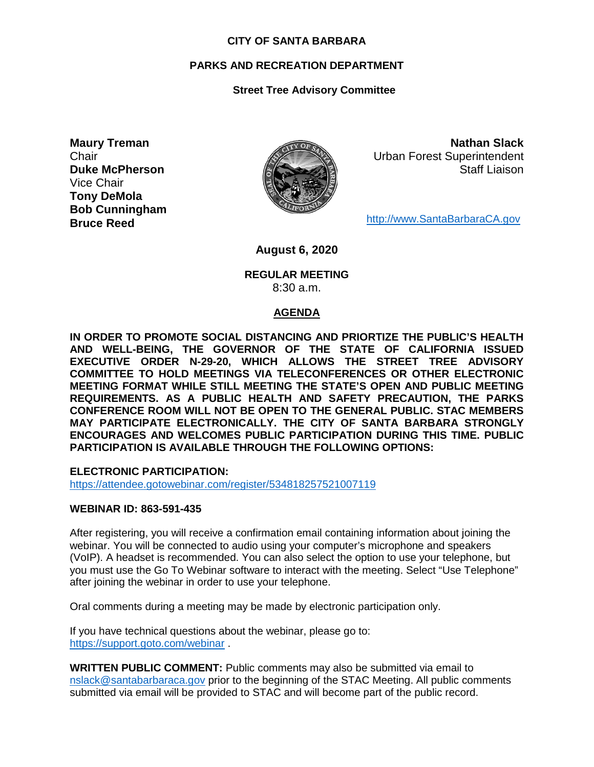#### **CITY OF SANTA BARBARA**

## **PARKS AND RECREATION DEPARTMENT**

## **Street Tree Advisory Committee**

**Maury Treman Chair Duke McPherson** Vice Chair **Tony DeMola Bob Cunningham Bruce Reed**



**Nathan Slack** Urban Forest Superintendent Staff Liaison

[http://www.SantaBarbaraCA.gov](http://www.santabarbaraca.gov/)

**August 6, 2020**

#### **REGULAR MEETING** 8:30 a.m.

### **AGENDA**

**IN ORDER TO PROMOTE SOCIAL DISTANCING AND PRIORTIZE THE PUBLIC'S HEALTH AND WELL-BEING, THE GOVERNOR OF THE STATE OF CALIFORNIA ISSUED EXECUTIVE ORDER N-29-20, WHICH ALLOWS THE STREET TREE ADVISORY COMMITTEE TO HOLD MEETINGS VIA TELECONFERENCES OR OTHER ELECTRONIC MEETING FORMAT WHILE STILL MEETING THE STATE'S OPEN AND PUBLIC MEETING REQUIREMENTS. AS A PUBLIC HEALTH AND SAFETY PRECAUTION, THE PARKS CONFERENCE ROOM WILL NOT BE OPEN TO THE GENERAL PUBLIC. STAC MEMBERS MAY PARTICIPATE ELECTRONICALLY. THE CITY OF SANTA BARBARA STRONGLY ENCOURAGES AND WELCOMES PUBLIC PARTICIPATION DURING THIS TIME. PUBLIC PARTICIPATION IS AVAILABLE THROUGH THE FOLLOWING OPTIONS:**

**ELECTRONIC PARTICIPATION:** 

<https://attendee.gotowebinar.com/register/534818257521007119>

### **WEBINAR ID: 863-591-435**

After registering, you will receive a confirmation email containing information about joining the webinar. You will be connected to audio using your computer's microphone and speakers (VoIP). A headset is recommended. You can also select the option to use your telephone, but you must use the Go To Webinar software to interact with the meeting. Select "Use Telephone" after joining the webinar in order to use your telephone.

Oral comments during a meeting may be made by electronic participation only.

If you have technical questions about the webinar, please go to: <https://support.goto.com/webinar> .

**WRITTEN PUBLIC COMMENT:** Public comments may also be submitted via email to [nslack@santabarbaraca.gov](mailto:nslack@santabarbaraca.gov) prior to the beginning of the STAC Meeting. All public comments submitted via email will be provided to STAC and will become part of the public record.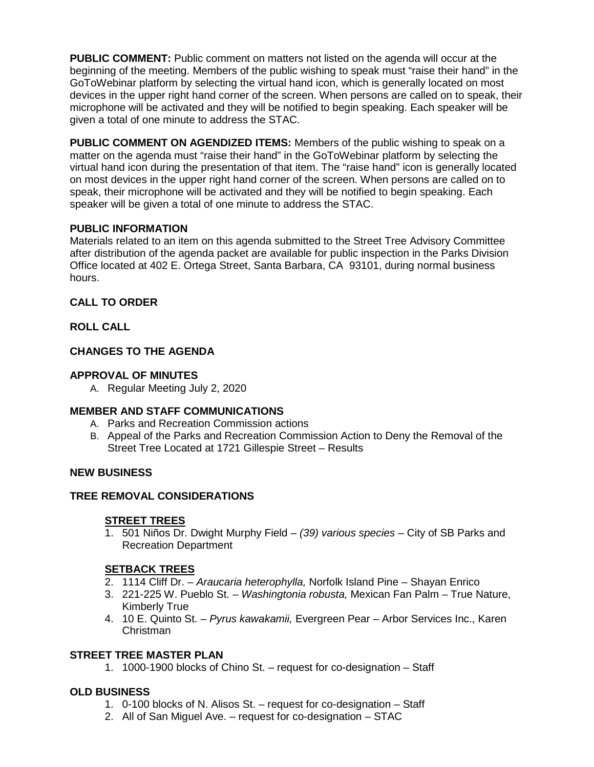**PUBLIC COMMENT:** Public comment on matters not listed on the agenda will occur at the beginning of the meeting. Members of the public wishing to speak must "raise their hand" in the GoToWebinar platform by selecting the virtual hand icon, which is generally located on most devices in the upper right hand corner of the screen. When persons are called on to speak, their microphone will be activated and they will be notified to begin speaking. Each speaker will be given a total of one minute to address the STAC.

**PUBLIC COMMENT ON AGENDIZED ITEMS:** Members of the public wishing to speak on a matter on the agenda must "raise their hand" in the GoToWebinar platform by selecting the virtual hand icon during the presentation of that item. The "raise hand" icon is generally located on most devices in the upper right hand corner of the screen. When persons are called on to speak, their microphone will be activated and they will be notified to begin speaking. Each speaker will be given a total of one minute to address the STAC.

## **PUBLIC INFORMATION**

Materials related to an item on this agenda submitted to the Street Tree Advisory Committee after distribution of the agenda packet are available for public inspection in the Parks Division Office located at 402 E. Ortega Street, Santa Barbara, CA 93101, during normal business hours.

## **CALL TO ORDER**

## **ROLL CALL**

## **CHANGES TO THE AGENDA**

## **APPROVAL OF MINUTES**

A. Regular Meeting July 2, 2020

# **MEMBER AND STAFF COMMUNICATIONS**

- A. Parks and Recreation Commission actions
- B. Appeal of the Parks and Recreation Commission Action to Deny the Removal of the Street Tree Located at 1721 Gillespie Street – Results

### **NEW BUSINESS**

### **TREE REMOVAL CONSIDERATIONS**

### **STREET TREES**

1. 501 Niños Dr. Dwight Murphy Field – *(39) various species* – City of SB Parks and Recreation Department

# **SETBACK TREES**

- 2. 1114 Cliff Dr. *Araucaria heterophylla,* Norfolk Island Pine Shayan Enrico
- 3. 221-225 W. Pueblo St. *Washingtonia robusta,* Mexican Fan Palm True Nature, Kimberly True
- 4. 10 E. Quinto St. *Pyrus kawakamii,* Evergreen Pear Arbor Services Inc., Karen Christman

## **STREET TREE MASTER PLAN**

1. 1000-1900 blocks of Chino St. – request for co-designation – Staff

# **OLD BUSINESS**

- 1. 0-100 blocks of N. Alisos St. request for co-designation Staff
- 2. All of San Miguel Ave. request for co-designation STAC